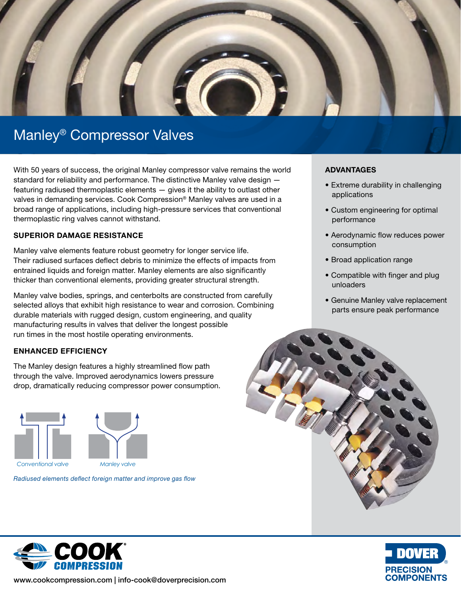

# Manley® Compressor Valves

With 50 years of success, the original Manley compressor valve remains the world standard for reliability and performance. The distinctive Manley valve design featuring radiused thermoplastic elements — gives it the ability to outlast other valves in demanding services. Cook Compression® Manley valves are used in a broad range of applications, including high-pressure services that conventional thermoplastic ring valves cannot withstand.

### SUPERIOR DAMAGE RESISTANCE

Manley valve elements feature robust geometry for longer service life. Their radiused surfaces deflect debris to minimize the effects of impacts from entrained liquids and foreign matter. Manley elements are also significantly thicker than conventional elements, providing greater structural strength.

Manley valve bodies, springs, and centerbolts are constructed from carefully selected alloys that exhibit high resistance to wear and corrosion. Combining durable materials with rugged design, custom engineering, and quality manufacturing results in valves that deliver the longest possible run times in the most hostile operating environments.

### ENHANCED EFFICIENCY

The Manley design features a highly streamlined flow path through the valve. Improved aerodynamics lowers pressure drop, dramatically reducing compressor power consumption.



*Radiused elements deflect foreign matter and improve gas flow*

### ADVANTAGES

- Extreme durability in challenging applications
- Custom engineering for optimal performance
- Aerodynamic flow reduces power consumption
- Broad application range
- Compatible with finger and plug unloaders
- Genuine Manley valve replacement parts ensure peak performance







www.cookcompression.com | info-cook@doverprecision.com